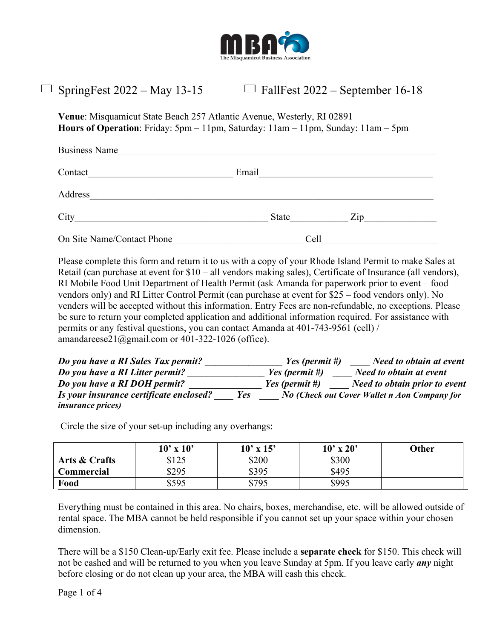

## $\Box$  SpringFest 2022 – May 13-15  $\Box$  FallFest 2022 – September 16-18

**Venue**: Misquamicut State Beach 257 Atlantic Avenue, Westerly, RI 02891 **Hours of Operation**: Friday: 5pm – 11pm, Saturday: 11am – 11pm, Sunday: 11am – 5pm

| <b>Business Name</b>       |                         |  |
|----------------------------|-------------------------|--|
| Contact                    | Email                   |  |
| Address                    |                         |  |
|                            | State<br>$\mathsf{Zip}$ |  |
| On Site Name/Contact Phone | Cell                    |  |

Please complete this form and return it to us with a copy of your Rhode Island Permit to make Sales at Retail (can purchase at event for \$10 – all vendors making sales), Certificate of Insurance (all vendors), RI Mobile Food Unit Department of Health Permit (ask Amanda for paperwork prior to event – food vendors only) and RI Litter Control Permit (can purchase at event for \$25 – food vendors only). No venders will be accepted without this information. Entry Fees are non-refundable, no exceptions. Please be sure to return your completed application and additional information required. For assistance with permits or any festival questions, you can contact Amanda at 401-743-9561 (cell) / amandareese21@gmail.com or 401-322-1026 (office).

| Do you have a RI Sales Tax permit?             | Yes (permit #) | Need to obtain at event                             |
|------------------------------------------------|----------------|-----------------------------------------------------|
| Do you have a RI Litter permit?                | Yes (permit #) | Need to obtain at event                             |
| Do you have a RI DOH permit?                   | Yes (permit #) | Need to obtain prior to event                       |
| Is your insurance certificate enclosed?<br>Yes |                | <b>No (Check out Cover Wallet n Aon Company for</b> |
| <i>insurance prices</i> )                      |                |                                                     |

Circle the size of your set-up including any overhangs:

|               | $10'$ x $10'$ | $10'$ x $15'$ | $10'$ x $20'$ | Other |
|---------------|---------------|---------------|---------------|-------|
| Arts & Crafts | \$125         | \$200         | \$300         |       |
| Commercial    | \$295         | \$395         | \$495         |       |
| Food          | \$595         | \$795         | \$995         |       |

Everything must be contained in this area. No chairs, boxes, merchandise, etc. will be allowed outside of rental space. The MBA cannot be held responsible if you cannot set up your space within your chosen dimension.

There will be a \$150 Clean-up/Early exit fee. Please include a **separate check** for \$150. This check will not be cashed and will be returned to you when you leave Sunday at 5pm. If you leave early *any* night before closing or do not clean up your area, the MBA will cash this check.

Page 1 of 4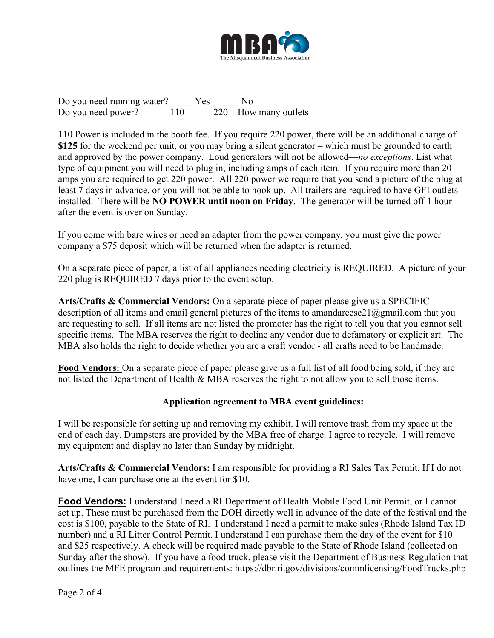

Do you need running water? The Yes No Do you need power? 110 220 How many outlets

110 Power is included in the booth fee. If you require 220 power, there will be an additional charge of **\$125** for the weekend per unit, or you may bring a silent generator – which must be grounded to earth and approved by the power company. Loud generators will not be allowed—*no exceptions*. List what type of equipment you will need to plug in, including amps of each item. If you require more than 20 amps you are required to get 220 power. All 220 power we require that you send a picture of the plug at least 7 days in advance, or you will not be able to hook up. All trailers are required to have GFI outlets installed. There will be **NO POWER until noon on Friday**. The generator will be turned off 1 hour after the event is over on Sunday.

If you come with bare wires or need an adapter from the power company, you must give the power company a \$75 deposit which will be returned when the adapter is returned.

On a separate piece of paper, a list of all appliances needing electricity is REQUIRED. A picture of your 220 plug is REQUIRED 7 days prior to the event setup.

**Arts/Crafts & Commercial Vendors:** On a separate piece of paper please give us a SPECIFIC description of all items and email general pictures of the items to amandareese21@gmail.com that you are requesting to sell. If all items are not listed the promoter has the right to tell you that you cannot sell specific items. The MBA reserves the right to decline any vendor due to defamatory or explicit art. The MBA also holds the right to decide whether you are a craft vendor - all crafts need to be handmade.

**Food Vendors:** On a separate piece of paper please give us a full list of all food being sold, if they are not listed the Department of Health & MBA reserves the right to not allow you to sell those items.

## **Application agreement to MBA event guidelines:**

I will be responsible for setting up and removing my exhibit. I will remove trash from my space at the end of each day. Dumpsters are provided by the MBA free of charge. I agree to recycle. I will remove my equipment and display no later than Sunday by midnight.

**Arts/Crafts & Commercial Vendors:** I am responsible for providing a RI Sales Tax Permit. If I do not have one, I can purchase one at the event for \$10.

**Food Vendors:** I understand I need a RI Department of Health Mobile Food Unit Permit, or I cannot set up. These must be purchased from the DOH directly well in advance of the date of the festival and the cost is \$100, payable to the State of RI. I understand I need a permit to make sales (Rhode Island Tax ID number) and a RI Litter Control Permit. I understand I can purchase them the day of the event for \$10 and \$25 respectively. A check will be required made payable to the State of Rhode Island (collected on Sunday after the show). If you have a food truck, please visit the Department of Business Regulation that outlines the MFE program and requirements: https://dbr.ri.gov/divisions/commlicensing/FoodTrucks.php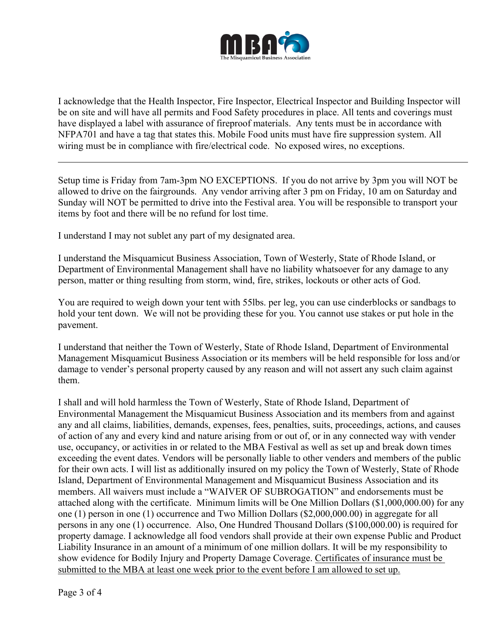

I acknowledge that the Health Inspector, Fire Inspector, Electrical Inspector and Building Inspector will be on site and will have all permits and Food Safety procedures in place. All tents and coverings must have displayed a label with assurance of fireproof materials. Any tents must be in accordance with NFPA701 and have a tag that states this. Mobile Food units must have fire suppression system. All wiring must be in compliance with fire/electrical code. No exposed wires, no exceptions.

Setup time is Friday from 7am-3pm NO EXCEPTIONS. If you do not arrive by 3pm you will NOT be allowed to drive on the fairgrounds. Any vendor arriving after 3 pm on Friday, 10 am on Saturday and Sunday will NOT be permitted to drive into the Festival area. You will be responsible to transport your items by foot and there will be no refund for lost time.

I understand I may not sublet any part of my designated area.

I understand the Misquamicut Business Association, Town of Westerly, State of Rhode Island, or Department of Environmental Management shall have no liability whatsoever for any damage to any person, matter or thing resulting from storm, wind, fire, strikes, lockouts or other acts of God.

You are required to weigh down your tent with 55lbs. per leg, you can use cinderblocks or sandbags to hold your tent down. We will not be providing these for you. You cannot use stakes or put hole in the pavement.

I understand that neither the Town of Westerly, State of Rhode Island, Department of Environmental Management Misquamicut Business Association or its members will be held responsible for loss and/or damage to vender's personal property caused by any reason and will not assert any such claim against them.

I shall and will hold harmless the Town of Westerly, State of Rhode Island, Department of Environmental Management the Misquamicut Business Association and its members from and against any and all claims, liabilities, demands, expenses, fees, penalties, suits, proceedings, actions, and causes of action of any and every kind and nature arising from or out of, or in any connected way with vender use, occupancy, or activities in or related to the MBA Festival as well as set up and break down times exceeding the event dates. Vendors will be personally liable to other venders and members of the public for their own acts. I will list as additionally insured on my policy the Town of Westerly, State of Rhode Island, Department of Environmental Management and Misquamicut Business Association and its members. All waivers must include a "WAIVER OF SUBROGATION" and endorsements must be attached along with the certificate. Minimum limits will be One Million Dollars (\$1,000,000.00) for any one (1) person in one (1) occurrence and Two Million Dollars (\$2,000,000.00) in aggregate for all persons in any one (1) occurrence. Also, One Hundred Thousand Dollars (\$100,000.00) is required for property damage. I acknowledge all food vendors shall provide at their own expense Public and Product Liability Insurance in an amount of a minimum of one million dollars. It will be my responsibility to show evidence for Bodily Injury and Property Damage Coverage. Certificates of insurance must be submitted to the MBA at least one week prior to the event before I am allowed to set up.